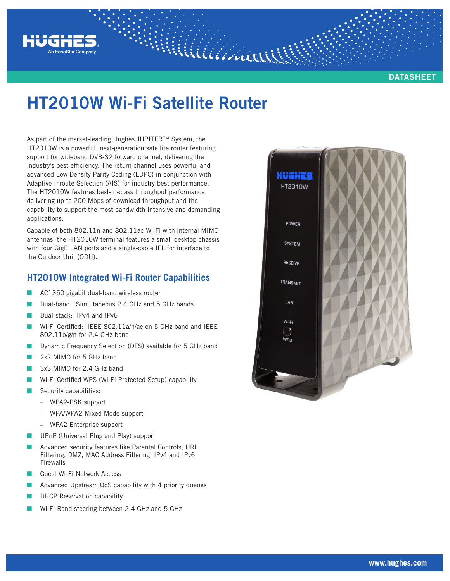

#### **DATASHEET**

# **HT2010W Wi-Fi Satellite Router**

Williamans

As part of the market-leading Hughes JUPITER™ System, the HT2010W is a powerful, next-generation satellite router featuring support for wideband DVB-S2 forward channel, delivering the industry's best efficiency. The return channel uses powerful and advanced Low Density Parity Coding (LDPC) in conjunction with Adaptive Inroute Selection (AIS) for industry-best performance. The HT2010W features best-in-class throughput performance, delivering up to 200 Mbps of download throughput and the capability to support the most bandwidth-intensive and demanding applications.

Capable of both 802.11n and 802.11ac Wi-Fi with internal MIMO antennas, the HT2010W terminal features a small desktop chassis with four GigE LAN ports and a single-cable IFL for interface to the Outdoor Unit (ODU).

### **HT2010W Integrated Wi-Fi Router Capabilities**

- AC1350 gigabit dual-band wireless router
- Dual-band: Simultaneous 2.4 GHz and 5 GHz bands
- Dual-stack: IPv4 and IPv6
- Wi-Fi Certified: IEEE 802.11a/n/ac on 5 GHz band and IEEE 802.11b/g/n for 2.4 GHz band
- Dynamic Frequency Selection (DFS) available for 5 GHz band
- 2x2 MIMO for 5 GHz band
- 3x3 MIMO for 2.4 GHz band
- Wi-Fi Certified WPS (Wi-Fi Protected Setup) capability
- Security capabilities:
	- − WPA2-PSK support
	- − WPA/WPA2-Mixed Mode support
	- − WPA2-Enterprise support
- UPnP (Universal Plug and Play) support
- Advanced security features like Parental Controls, URL Filtering, DMZ, MAC Address Filtering, IPv4 and IPv6 **Firewalls**
- Q Guest Wi-Fi Network Access
- Advanced Upstream QoS capability with 4 priority queues
- DHCP Reservation capability
- Wi-Fi Band steering between 2.4 GHz and 5 GHz